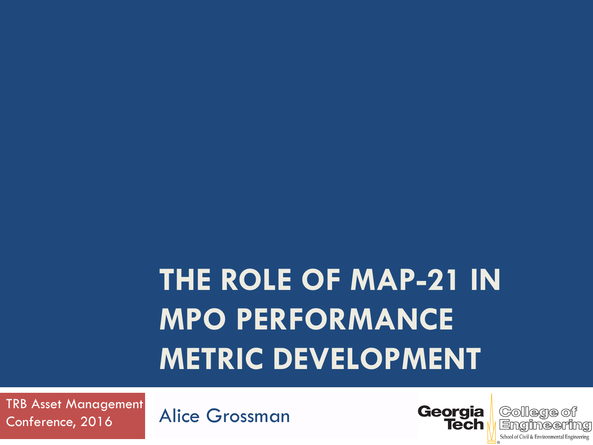# **THE ROLE OF MAP-21 IN MPO PERFORMANCE METRIC DEVELOPMENT**

Alice Grossman TRB Asset Management Conference, 2016



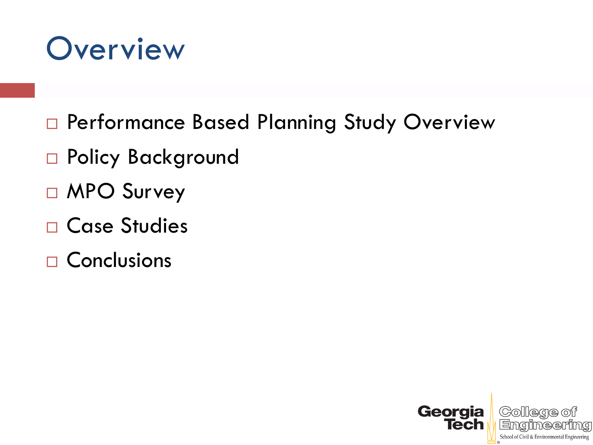#### **Overview**

- □ Performance Based Planning Study Overview
- □ Policy Background
- □ MPO Survey
- □ Case Studies
- $\Box$  Conclusions

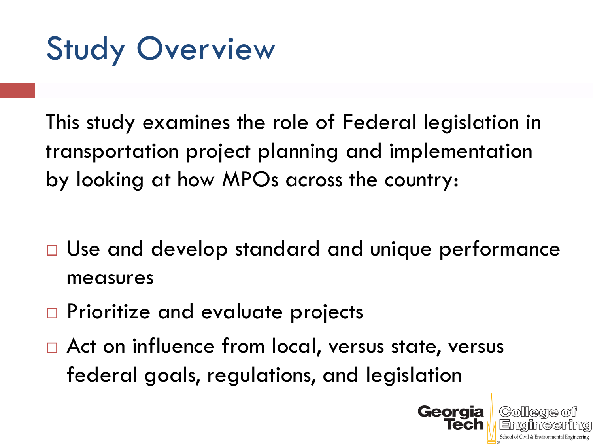Study Overview

This study examines the role of Federal legislation in transportation project planning and implementation by looking at how MPOs across the country:

- □ Use and develop standard and unique performance measures
- □ Prioritize and evaluate projects
- □ Act on influence from local, versus state, versus federal goals, regulations, and legislation

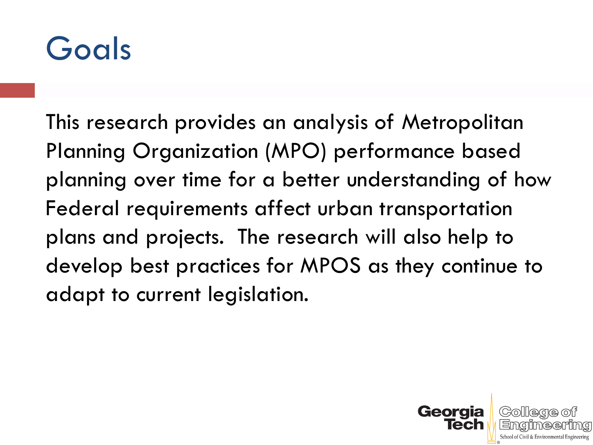

This research provides an analysis of Metropolitan Planning Organization (MPO) performance based planning over time for a better understanding of how Federal requirements affect urban transportation plans and projects. The research will also help to develop best practices for MPOS as they continue to adapt to current legislation.

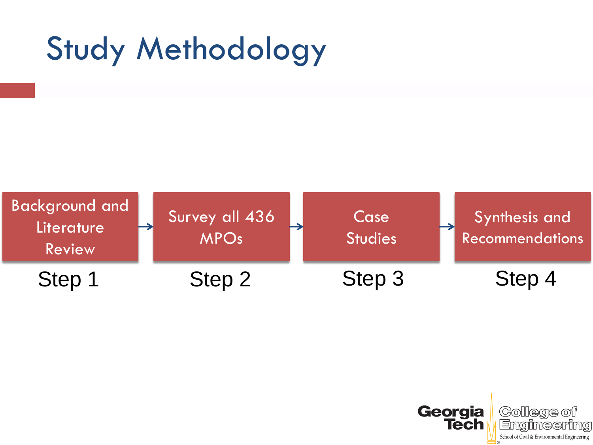# Study Methodology



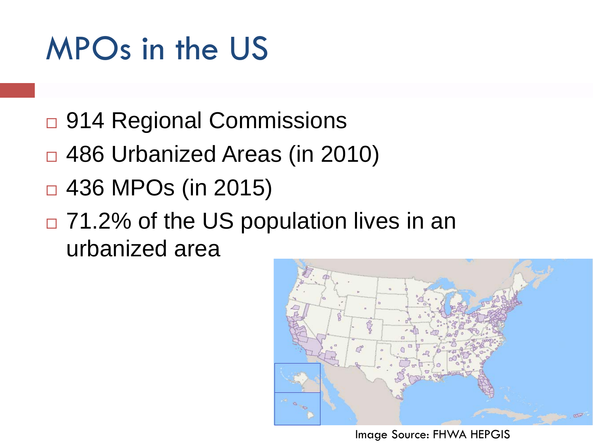## MPOs in the US

- □ 914 Regional Commissions
- □ 486 Urbanized Areas (in 2010)
- $\Box$  436 MPOs (in 2015)
- □ 71.2% of the US population lives in an urbanized area



Image Source: FHWA HEPGIS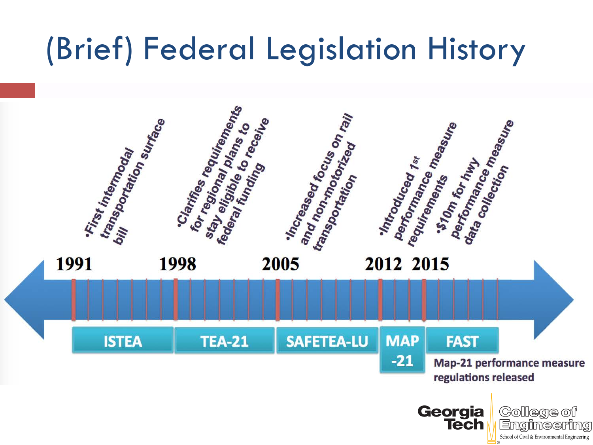## (Brief) Federal Legislation History

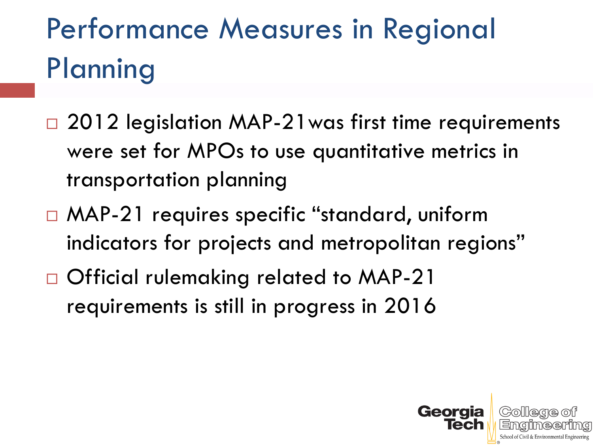## Performance Measures in Regional **Planning**

- □ 2012 legislation MAP-21 was first time requirements were set for MPOs to use quantitative metrics in transportation planning
- □ MAP-21 requires specific "standard, uniform indicators for projects and metropolitan regions"
- □ Official rulemaking related to MAP-21 requirements is still in progress in 2016

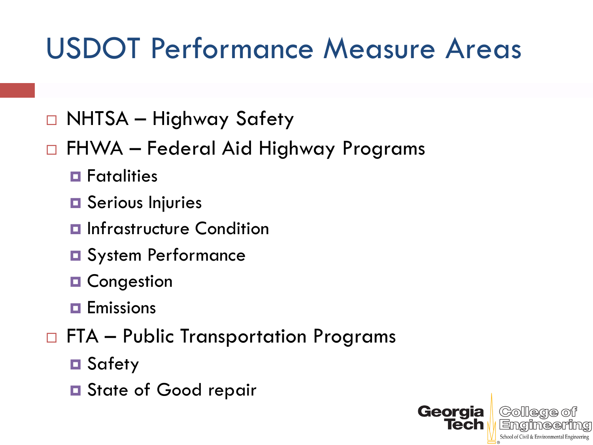#### USDOT Performance Measure Areas

- NHTSA Highway Safety
- FHWA Federal Aid Highway Programs
	- **E** Fatalities
	- **O** Serious Injuries
	- $\blacksquare$  Infrastructure Condition
	- **O** System Performance
	- **D** Congestion
	- $\blacksquare$  Emissions
- $\Box$  FTA Public Transportation Programs
	- **□** Safety
	- **□** State of Good repair

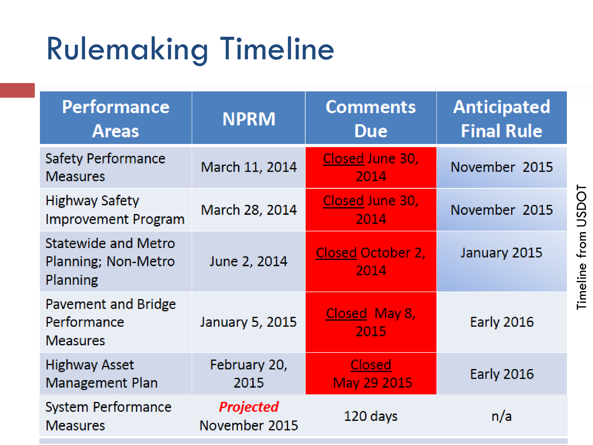# Rulemaking Timeline

| <b>Performance</b><br><b>Areas</b>                     | <b>NPRM</b>                       | <b>Comments</b><br><b>Due</b>    | <b>Anticipated</b><br><b>Final Rule</b> |
|--------------------------------------------------------|-----------------------------------|----------------------------------|-----------------------------------------|
| Safety Performance<br><b>Measures</b>                  | March 11, 2014                    | Closed June 30,<br>2014          | November 2015                           |
| Highway Safety<br><b>Improvement Program</b>           | March 28, 2014                    | Closed June 30,<br>2014          | November 2015                           |
| Statewide and Metro<br>Planning; Non-Metro<br>Planning | June 2, 2014                      | <b>Closed October 2,</b><br>2014 | January 2015                            |
| Pavement and Bridge<br>Performance<br><b>Measures</b>  | January 5, 2015                   | Closed May 8,<br>2015            | <b>Early 2016</b>                       |
| <b>Highway Asset</b><br>Management Plan                | February 20,<br>2015              | Closed<br>May 29 2015            | <b>Early 2016</b>                       |
| System Performance<br><b>Measures</b>                  | <b>Projected</b><br>November 2015 | 120 days                         | n/a                                     |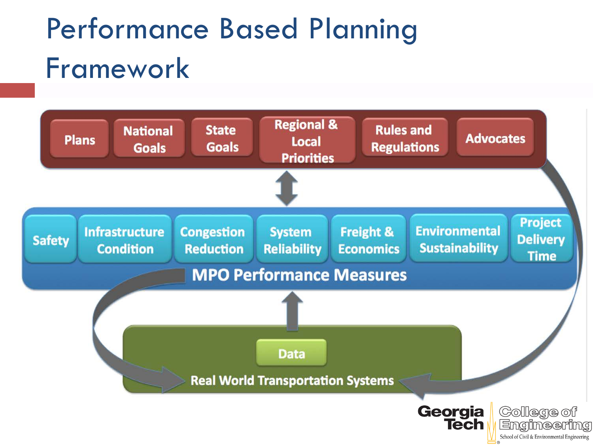### Performance Based Planning Framework

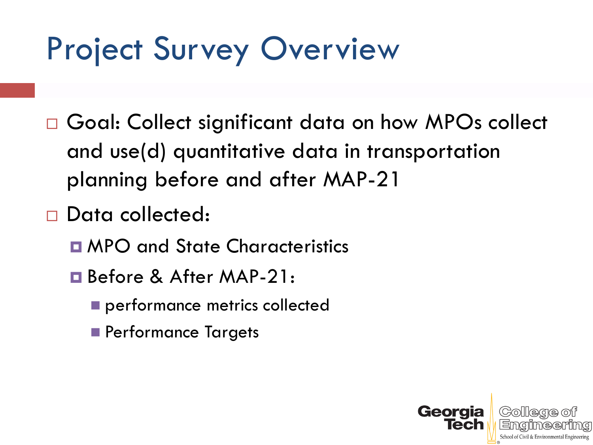## Project Survey Overview

- □ Goal: Collect significant data on how MPOs collect and use(d) quantitative data in transportation planning before and after MAP-21
- Data collected:
	- **E** MPO and State Characteristics
	- Before & After MAP-21:
		- performance metrics collected
		- **Performance Targets**

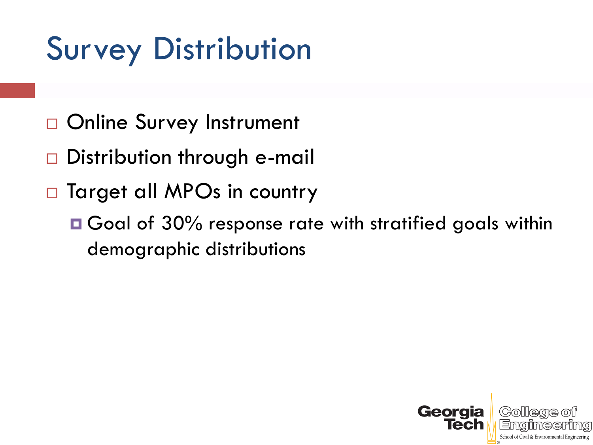## Survey Distribution

- □ Online Survey Instrument
- □ Distribution through e-mail
- □ Target all MPOs in country
	- Goal of 30% response rate with stratified goals within demographic distributions

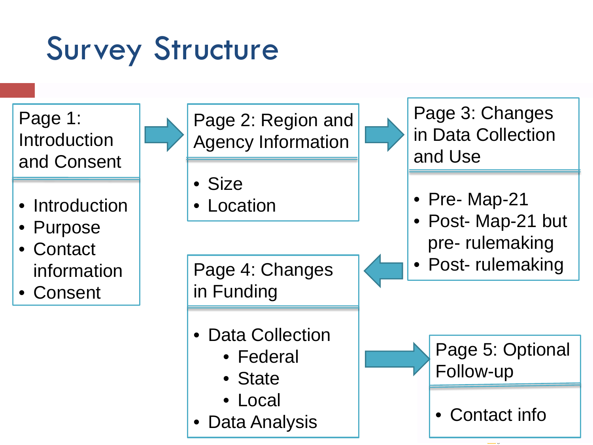# Survey Structure

Page 1: **Introduction** and Consent

- **Introduction**
- Purpose

**Contact** information

**Consent** 

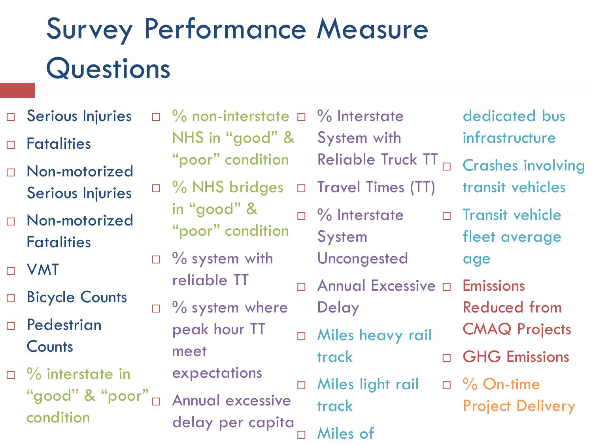# Survey Performance Measure **Questions**

- □ Serious Injuries
- Fatalities
- Non-motorized Serious Injuries
- Non-motorized **Fatalities**
- VMT
- □ Bicycle Counts
- Pedestrian **Counts**
- $\Box$  % interstate in "good" & "poor" condition
- $\Box$  % non-interstate  $\Box$ NHS in "good" & "poor" condition □ % NHS bridges in "good" & "poor" condition  $\Box$  % system with reliable TT  $\Box$  % system where peak hour TT meet expectations Annual excessive delay per capita System **Delay** track track Miles of
- % Interstate System with Reliable Truck TT
	- □ Travel Times (TT)
	- $\Box$  % Interstate
		- Uncongested
	- □ Annual Excessive □ Emissions
	- D Miles heavy rail
	- **D** Miles light rail
- dedicated bus infrastructure
- Crashes involving
- transit vehicles
- □ Transit vehicle fleet average age
	- Reduced from
	- CMAQ Projects
- GHG Emissions
- $\Box$  % On-time Project Delivery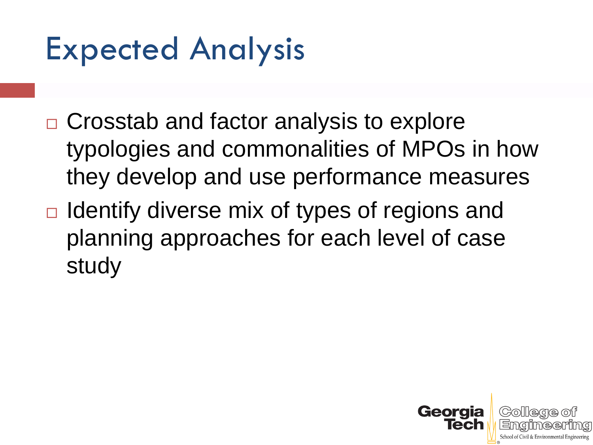### Expected Analysis

- □ Crosstab and factor analysis to explore typologies and commonalities of MPOs in how they develop and use performance measures
- $\Box$  Identify diverse mix of types of regions and planning approaches for each level of case study

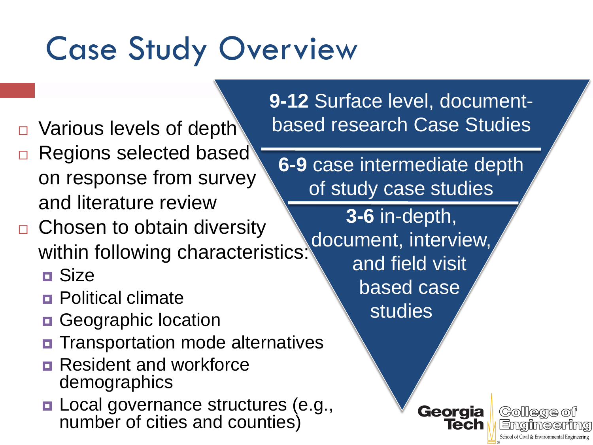# Case Study Overview

- □ Various levels of depth
- Regions selected based on response from survey and literature review
- □ Chosen to obtain diversity within following characteristics:
	- Size
	- **<u>n</u>** Political climate
	- **Geographic location**
	- **O** Transportation mode alternatives
	- **Resident and workforce** demographics
	- **□ Local governance structures (e.g.,** number of cities and counties)

**9-12** Surface level, documentbased research Case Studies

**6-9** case intermediate depth of study case studies

> **3-6** in-depth, document, interview, and field visit based case studies

> > Georgia

Tech

College of

School of Civil & Environmental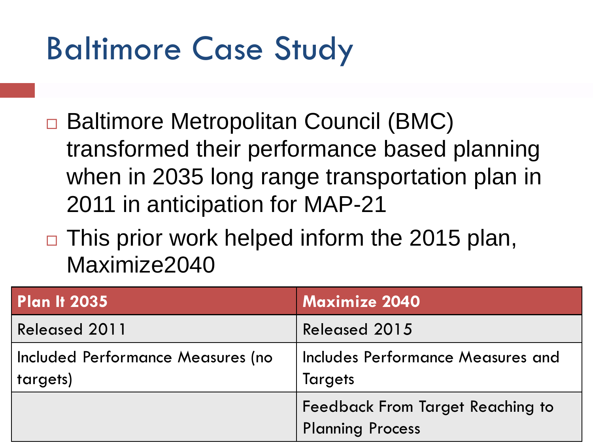## Baltimore Case Study

- Baltimore Metropolitan Council (BMC) transformed their performance based planning when in 2035 long range transportation plan in 2011 in anticipation for MAP-21
- $\Box$  This prior work helped inform the 2015 plan, Maximize2040

| <b>Plan It 2035</b>                           | <b>Maximize 2040</b>                                               |
|-----------------------------------------------|--------------------------------------------------------------------|
| <b>Released 2011</b>                          | <b>Released 2015</b>                                               |
| Included Performance Measures (no<br>targets) | Includes Performance Measures and<br><b>Targets</b>                |
|                                               | <b>Feedback From Target Reaching to</b><br><b>Planning Process</b> |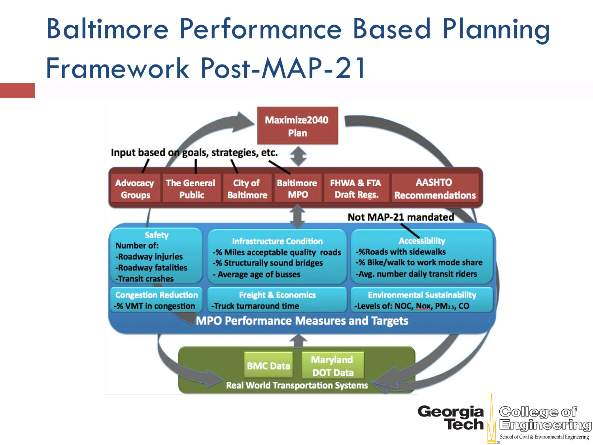#### Baltimore Performance Based Planning Framework Post-MAP-21



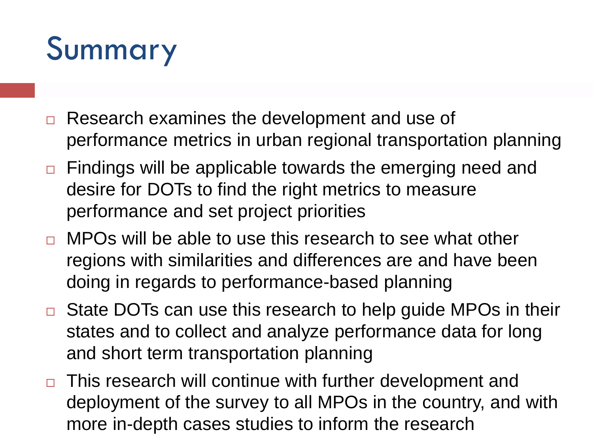# Summary

- Research examines the development and use of performance metrics in urban regional transportation planning
- $\Box$  Findings will be applicable towards the emerging need and desire for DOTs to find the right metrics to measure performance and set project priorities
- □ MPOs will be able to use this research to see what other regions with similarities and differences are and have been doing in regards to performance-based planning
- □ State DOTs can use this research to help guide MPOs in their states and to collect and analyze performance data for long and short term transportation planning
- $\Box$  This research will continue with further development and deployment of the survey to all MPOs in the country, and with more in-depth cases studies to inform the research